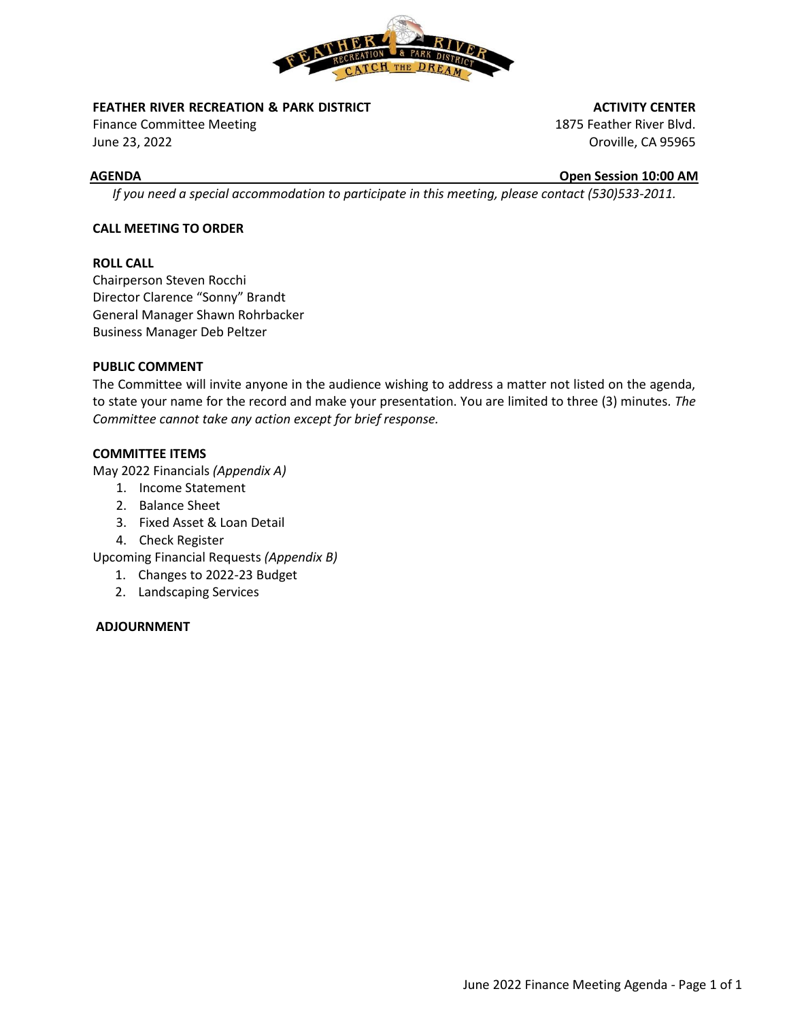

# **FEATHER RIVER RECREATION & PARK DISTRICT**

Finance Committee Meeting June 23, 2022

## **ACTIVITY CENTER**

1875 Feather River Blvd. Oroville, CA 95965

# **AGENDA Open Session 10:00 AM**

*If you need a special accommodation to participate in this meeting, please contact (530)533-2011.*

# **CALL MEETING TO ORDER**

# **ROLL CALL**

Chairperson Steven Rocchi Director Clarence "Sonny" Brandt General Manager Shawn Rohrbacker Business Manager Deb Peltzer

# **PUBLIC COMMENT**

The Committee will invite anyone in the audience wishing to address a matter not listed on the agenda, to state your name for the record and make your presentation. You are limited to three (3) minutes*. The Committee cannot take any action except for brief response.*

# **COMMITTEE ITEMS**

May 2022 Financials *(Appendix A)*

- 1. Income Statement
- 2. Balance Sheet
- 3. Fixed Asset & Loan Detail
- 4. Check Register

Upcoming Financial Requests *(Appendix B)*

- 1. Changes to 2022-23 Budget
- 2. Landscaping Services

# **ADJOURNMENT**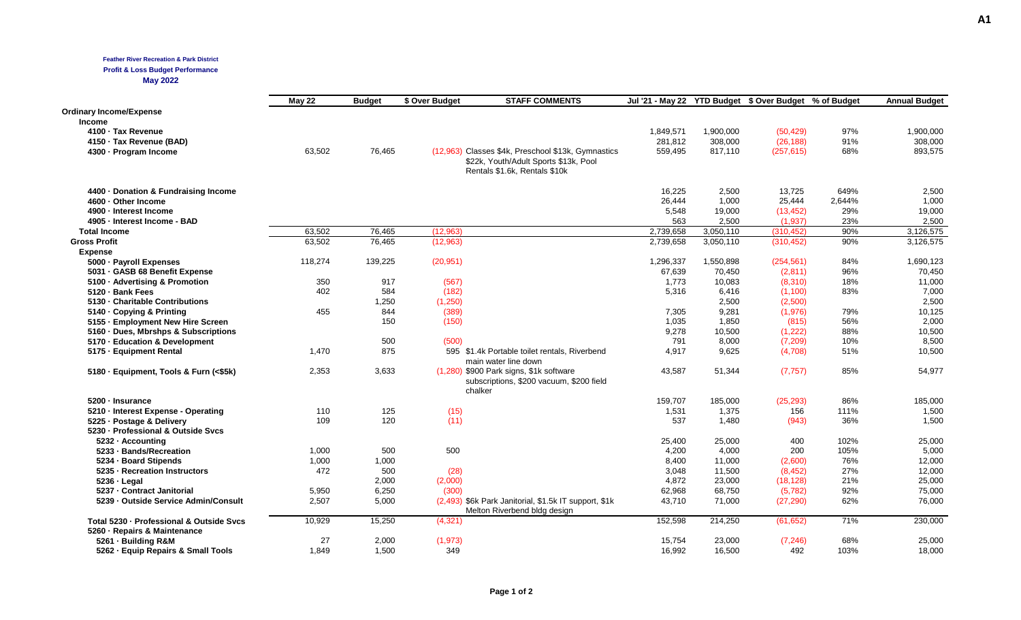### **Feather River Recreation & Park District**

**Profit & Loss Budget Performance**

**May 2022**

|                                          | <b>May 22</b> | <b>Budget</b> | \$ Over Budget | <b>STAFF COMMENTS</b>                                                                          | Jul '21 - May 22 YTD Budget \$ Over Budget % of Budget |           |            |        | <b>Annual Budget</b> |
|------------------------------------------|---------------|---------------|----------------|------------------------------------------------------------------------------------------------|--------------------------------------------------------|-----------|------------|--------|----------------------|
| <b>Ordinary Income/Expense</b>           |               |               |                |                                                                                                |                                                        |           |            |        |                      |
| <b>Income</b>                            |               |               |                |                                                                                                |                                                        |           |            |        |                      |
| 4100 · Tax Revenue                       |               |               |                |                                                                                                | 1,849,571                                              | 1,900,000 | (50, 429)  | 97%    | 1,900,000            |
| 4150 · Tax Revenue (BAD)                 |               |               |                |                                                                                                | 281,812                                                | 308,000   | (26, 188)  | 91%    | 308,000              |
| 4300 - Program Income                    | 63,502        | 76,465        |                | (12,963) Classes \$4k, Preschool \$13k, Gymnastics                                             | 559,495                                                | 817,110   | (257, 615) | 68%    | 893,575              |
|                                          |               |               |                | \$22k, Youth/Adult Sports \$13k, Pool<br>Rentals \$1.6k, Rentals \$10k                         |                                                        |           |            |        |                      |
| 4400 · Donation & Fundraising Income     |               |               |                |                                                                                                | 16,225                                                 | 2,500     | 13,725     | 649%   | 2,500                |
| 4600 · Other Income                      |               |               |                |                                                                                                | 26,444                                                 | 1,000     | 25,444     | 2,644% | 1,000                |
| 4900 - Interest Income                   |               |               |                |                                                                                                | 5,548                                                  | 19,000    | (13, 452)  | 29%    | 19,000               |
| 4905 - Interest Income - BAD             |               |               |                |                                                                                                | 563                                                    | 2.500     | (1,937)    | 23%    | 2.500                |
| <b>Total Income</b>                      | 63,502        | 76,465        | (12,963)       |                                                                                                | 2,739,658                                              | 3,050,110 | (310, 452) | 90%    | 3,126,575            |
| <b>Gross Profit</b>                      | 63,502        | 76,465        | (12, 963)      |                                                                                                | 2,739,658                                              | 3,050,110 | (310, 452) | 90%    | 3,126,575            |
| <b>Expense</b>                           |               |               |                |                                                                                                |                                                        |           |            |        |                      |
| 5000 - Payroll Expenses                  | 118,274       | 139,225       | (20, 951)      |                                                                                                | 1,296,337                                              | 1,550,898 | (254, 561) | 84%    | 1,690,123            |
| 5031 - GASB 68 Benefit Expense           |               |               |                |                                                                                                | 67,639                                                 | 70,450    | (2,811)    | 96%    | 70,450               |
| 5100 · Advertising & Promotion           | 350           | 917           | (567)          |                                                                                                | 1,773                                                  | 10,083    | (8,310)    | 18%    | 11,000               |
| 5120 · Bank Fees                         | 402           | 584           | (182)          |                                                                                                | 5,316                                                  | 6,416     | (1, 100)   | 83%    | 7,000                |
| 5130 - Charitable Contributions          |               | 1,250         | (1,250)        |                                                                                                |                                                        | 2,500     | (2,500)    |        | 2,500                |
| 5140 - Copying & Printing                | 455           | 844           | (389)          |                                                                                                | 7,305                                                  | 9,281     | (1,976)    | 79%    | 10,125               |
| 5155 - Employment New Hire Screen        |               | 150           | (150)          |                                                                                                | 1,035                                                  | 1,850     | (815)      | 56%    | 2,000                |
| 5160 · Dues, Mbrshps & Subscriptions     |               |               |                |                                                                                                | 9,278                                                  | 10,500    | (1,222)    | 88%    | 10,500               |
| 5170 - Education & Development           |               | 500           | (500)          |                                                                                                | 791                                                    | 8,000     | (7, 209)   | 10%    | 8,500                |
| 5175 - Equipment Rental                  | 1,470         | 875           |                | 595 \$1.4k Portable toilet rentals, Riverbend                                                  | 4,917                                                  | 9,625     | (4,708)    | 51%    | 10,500               |
|                                          |               |               |                | main water line down                                                                           |                                                        |           |            |        |                      |
| 5180 · Equipment, Tools & Furn (<\$5k)   | 2,353         | 3,633         |                | (1,280) \$900 Park signs, \$1k software<br>subscriptions, \$200 vacuum, \$200 field<br>chalker | 43,587                                                 | 51,344    | (7, 757)   | 85%    | 54,977               |
| 5200 - Insurance                         |               |               |                |                                                                                                | 159,707                                                | 185,000   | (25, 293)  | 86%    | 185,000              |
| 5210 · Interest Expense - Operating      | 110           | 125           | (15)           |                                                                                                | 1,531                                                  | 1,375     | 156        | 111%   | 1,500                |
| 5225 - Postage & Delivery                | 109           | 120           | (11)           |                                                                                                | 537                                                    | 1,480     | (943)      | 36%    | 1,500                |
| 5230 - Professional & Outside Svcs       |               |               |                |                                                                                                |                                                        |           |            |        |                      |
| 5232 - Accounting                        |               |               |                |                                                                                                | 25,400                                                 | 25,000    | 400        | 102%   | 25,000               |
| 5233 - Bands/Recreation                  | 1,000         | 500           | 500            |                                                                                                | 4,200                                                  | 4,000     | 200        | 105%   | 5,000                |
| 5234 - Board Stipends                    | 1,000         | 1,000         |                |                                                                                                | 8,400                                                  | 11,000    | (2,600)    | 76%    | 12,000               |
| 5235 - Recreation Instructors            | 472           | 500           | (28)           |                                                                                                | 3,048                                                  | 11,500    | (8, 452)   | 27%    | 12,000               |
| $5236 -$ Legal                           |               | 2,000         | (2,000)        |                                                                                                | 4,872                                                  | 23,000    | (18, 128)  | 21%    | 25,000               |
| 5237 - Contract Janitorial               | 5,950         | 6,250         | (300)          |                                                                                                | 62,968                                                 | 68,750    | (5, 782)   | 92%    | 75,000               |
| 5239 - Outside Service Admin/Consult     | 2,507         | 5,000         |                | (2,493) \$6k Park Janitorial, \$1.5k IT support, \$1k<br>Melton Riverbend bldg design          | 43,710                                                 | 71,000    | (27, 290)  | 62%    | 76,000               |
| Total 5230 - Professional & Outside Svcs | 10,929        | 15,250        | (4,321)        |                                                                                                | 152,598                                                | 214,250   | (61, 652)  | 71%    | 230,000              |
| 5260 · Repairs & Maintenance             |               |               |                |                                                                                                |                                                        |           |            |        |                      |
| 5261 - Building R&M                      | 27            | 2,000         | (1, 973)       |                                                                                                | 15,754                                                 | 23,000    | (7, 246)   | 68%    | 25,000               |
| 5262 · Equip Repairs & Small Tools       | 1.849         | 1.500         | 349            |                                                                                                | 16.992                                                 | 16.500    | 492        | 103%   | 18,000               |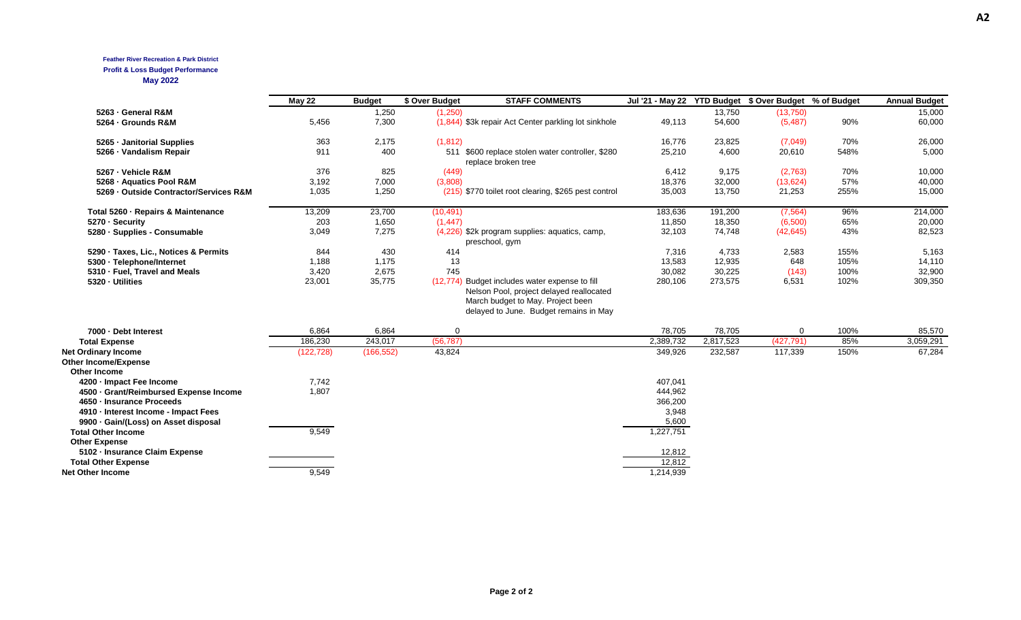# **Feather River Recreation & Park District**

## **Profit & Loss Budget Performance**

**May 2022**

|                                                                           | <b>May 22</b> | <b>Budget</b> | \$ Over Budget | <b>STAFF COMMENTS</b>                                                                                                                                                     | Jul '21 - May 22 YTD Budget \$ Over Budget % of Budget |           |            |      | <b>Annual Budget</b> |
|---------------------------------------------------------------------------|---------------|---------------|----------------|---------------------------------------------------------------------------------------------------------------------------------------------------------------------------|--------------------------------------------------------|-----------|------------|------|----------------------|
| 5263 - General R&M                                                        |               | 1,250         | (1,250)        |                                                                                                                                                                           |                                                        | 13,750    | (13,750)   |      | 15,000               |
| 5264 - Grounds R&M                                                        | 5,456         | 7,300         |                | (1,844) \$3k repair Act Center parkling lot sinkhole                                                                                                                      | 49,113                                                 | 54,600    | (5, 487)   | 90%  | 60,000               |
| 5265 - Janitorial Supplies                                                | 363           | 2,175         | (1, 812)       |                                                                                                                                                                           | 16,776                                                 | 23,825    | (7,049)    | 70%  | 26,000               |
| 5266 - Vandalism Repair                                                   | 911           | 400           |                | 511 \$600 replace stolen water controller, \$280<br>replace broken tree                                                                                                   | 25,210                                                 | 4,600     | 20,610     | 548% | 5,000                |
| 5267 - Vehicle R&M                                                        | 376           | 825           | (449)          |                                                                                                                                                                           | 6,412                                                  | 9,175     | (2,763)    | 70%  | 10,000               |
| 5268 - Aquatics Pool R&M                                                  | 3,192         | 7,000         | (3,808)        |                                                                                                                                                                           | 18,376                                                 | 32,000    | (13, 624)  | 57%  | 40,000               |
| 5269 - Outside Contractor/Services R&M                                    | 1,035         | 1,250         |                | (215) \$770 toilet root clearing, \$265 pest control                                                                                                                      | 35,003                                                 | 13,750    | 21,253     | 255% | 15,000               |
| Total 5260 - Repairs & Maintenance                                        | 13,209        | 23,700        | (10, 491)      |                                                                                                                                                                           | 183,636                                                | 191,200   | (7, 564)   | 96%  | 214,000              |
| 5270 · Security                                                           | 203           | 1,650         | (1, 447)       |                                                                                                                                                                           | 11,850                                                 | 18,350    | (6,500)    | 65%  | 20,000               |
| 5280 · Supplies - Consumable                                              | 3,049         | 7,275         |                | (4,226) \$2k program supplies: aquatics, camp,<br>preschool, gym                                                                                                          | 32,103                                                 | 74,748    | (42, 645)  | 43%  | 82,523               |
| 5290 · Taxes, Lic., Notices & Permits                                     | 844           | 430           | 414            |                                                                                                                                                                           | 7,316                                                  | 4,733     | 2,583      | 155% | 5,163                |
| 5300 · Telephone/Internet                                                 | 1,188         | 1,175         | 13             |                                                                                                                                                                           | 13,583                                                 | 12,935    | 648        | 105% | 14,110               |
| 5310 - Fuel, Travel and Meals                                             | 3,420         | 2,675         | 745            |                                                                                                                                                                           | 30,082                                                 | 30,225    | (143)      | 100% | 32,900               |
| 5320 · Utilities                                                          | 23,001        | 35,775        |                | (12,774) Budget includes water expense to fill<br>Nelson Pool, project delayed reallocated<br>March budget to May. Project been<br>delayed to June. Budget remains in May | 280,106                                                | 273,575   | 6,531      | 102% | 309,350              |
| 7000 · Debt Interest                                                      | 6,864         | 6,864         | $\Omega$       |                                                                                                                                                                           | 78,705                                                 | 78,705    | 0          | 100% | 85,570               |
| <b>Total Expense</b>                                                      | 186,230       | 243,017       | (56, 787)      |                                                                                                                                                                           | 2,389,732                                              | 2,817,523 | (427, 791) | 85%  | 3,059,291            |
| <b>Net Ordinary Income</b><br><b>Other Income/Expense</b><br>Other Income | (122, 728)    | (166, 552)    | 43,824         |                                                                                                                                                                           | 349,926                                                | 232,587   | 117,339    | 150% | 67,284               |
| 4200 - Impact Fee Income                                                  | 7,742         |               |                |                                                                                                                                                                           | 407,041                                                |           |            |      |                      |
| 4500 · Grant/Reimbursed Expense Income                                    | 1,807         |               |                |                                                                                                                                                                           | 444,962                                                |           |            |      |                      |
| 4650 · Insurance Proceeds                                                 |               |               |                |                                                                                                                                                                           | 366,200                                                |           |            |      |                      |
| 4910 - Interest Income - Impact Fees                                      |               |               |                |                                                                                                                                                                           | 3,948                                                  |           |            |      |                      |
| 9900 · Gain/(Loss) on Asset disposal                                      |               |               |                |                                                                                                                                                                           | 5,600                                                  |           |            |      |                      |
| <b>Total Other Income</b>                                                 | 9,549         |               |                |                                                                                                                                                                           | 1,227,751                                              |           |            |      |                      |
| <b>Other Expense</b>                                                      |               |               |                |                                                                                                                                                                           |                                                        |           |            |      |                      |
| 5102 - Insurance Claim Expense                                            |               |               |                |                                                                                                                                                                           | 12,812                                                 |           |            |      |                      |
| <b>Total Other Expense</b>                                                |               |               |                |                                                                                                                                                                           | 12,812                                                 |           |            |      |                      |
| <b>Net Other Income</b>                                                   | 9.549         |               |                |                                                                                                                                                                           | 1,214,939                                              |           |            |      |                      |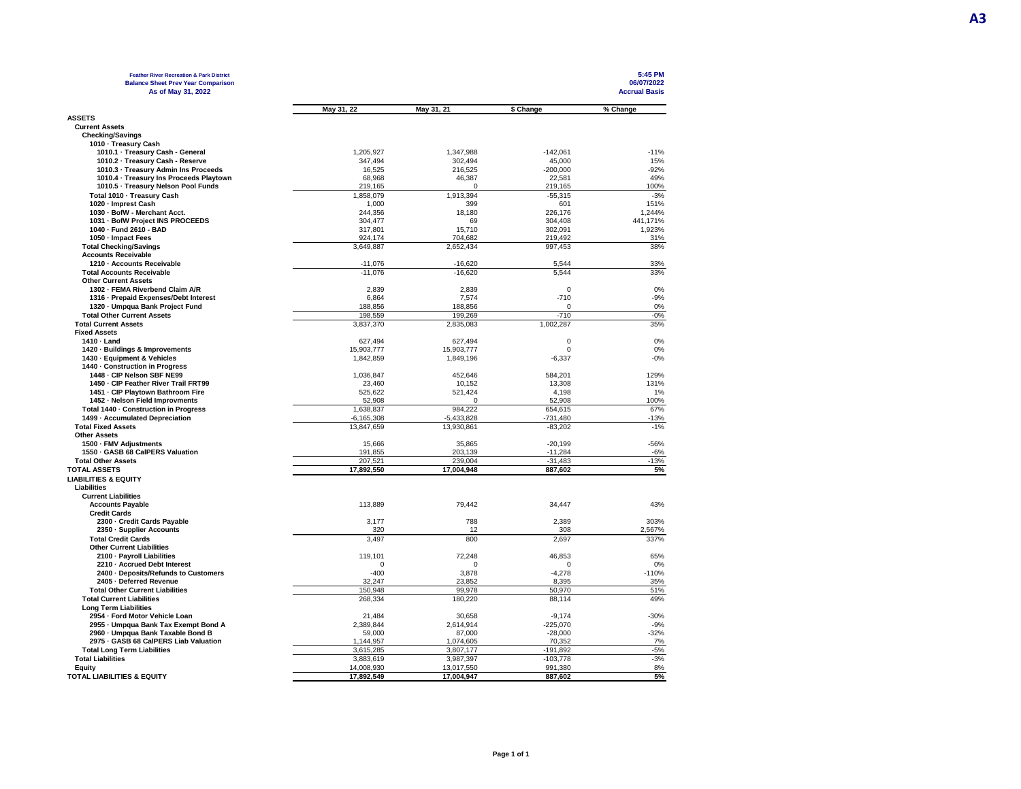| <b>Feather River Recreation &amp; Park District</b>              |                        |                        |                        | 5:45 PM              |
|------------------------------------------------------------------|------------------------|------------------------|------------------------|----------------------|
| <b>Balance Sheet Prev Year Comparison</b>                        |                        |                        |                        | 06/07/2022           |
| As of May 31, 2022                                               |                        |                        |                        | <b>Accrual Basis</b> |
|                                                                  | May 31, 22             | May 31, 21             | \$ Change              | % Change             |
| <b>ASSETS</b>                                                    |                        |                        |                        |                      |
| <b>Current Assets</b>                                            |                        |                        |                        |                      |
| <b>Checking/Savings</b>                                          |                        |                        |                        |                      |
| 1010 · Treasury Cash                                             |                        |                        |                        |                      |
| 1010.1 · Treasury Cash - General                                 | 1,205,927              | 1,347,988              | $-142,061$             | $-11%$               |
| 1010.2 · Treasury Cash - Reserve                                 | 347,494                | 302,494                | 45,000                 | 15%                  |
| 1010.3 - Treasury Admin Ins Proceeds                             | 16,525                 | 216,525                | $-200,000$             | $-92%$               |
| 1010.4 · Treasury Ins Proceeds Playtown                          | 68,968                 | 46,387                 | 22,581                 | 49%                  |
| 1010.5 · Treasury Nelson Pool Funds                              | 219,165                | $\Omega$               | 219,165                | 100%                 |
| Total 1010 - Treasury Cash                                       | 1,858,079              | 1,913,394              | $-55,315$              | $-3%$                |
| 1020 - Imprest Cash                                              | 1,000                  | 399                    | 601                    | 151%                 |
| 1030 - BofW - Merchant Acct.<br>1031 - BofW Project INS PROCEEDS | 244,356<br>304,477     | 18,180<br>69           | 226,176<br>304,408     | 1,244%<br>441,171%   |
| 1040 - Fund 2610 - BAD                                           | 317,801                | 15,710                 | 302,091                | 1,923%               |
| 1050 - Impact Fees                                               | 924,174                | 704,682                | 219,492                | 31%                  |
| <b>Total Checking/Savings</b>                                    | 3,649,887              | 2,652,434              | 997,453                | 38%                  |
| <b>Accounts Receivable</b>                                       |                        |                        |                        |                      |
| 1210 - Accounts Receivable                                       | $-11,076$              | -16,620                | 5.544                  | 33%                  |
| <b>Total Accounts Receivable</b>                                 | $-11.076$              | $-16.620$              | 5.544                  | 33%                  |
| <b>Other Current Assets</b>                                      |                        |                        |                        |                      |
| 1302 - FEMA Riverbend Claim A/R                                  | 2,839                  | 2,839                  | $\mathbf 0$            | 0%                   |
| 1316 - Prepaid Expenses/Debt Interest                            | 6,864                  | 7,574                  | $-710$                 | $-9%$                |
| 1320 - Umpqua Bank Project Fund                                  | 188,856                | 188,856                | 0                      | 0%                   |
| <b>Total Other Current Assets</b>                                | 198,559                | 199,269                | $-710$                 | $-0%$                |
| <b>Total Current Assets</b>                                      | 3,837,370              | 2,835,083              | 1,002,287              | 35%                  |
| <b>Fixed Assets</b>                                              |                        |                        |                        |                      |
| 1410 - Land                                                      | 627,494                | 627,494                | 0<br>$\Omega$          | 0%                   |
| 1420 · Buildings & Improvements<br>1430 - Equipment & Vehicles   | 15,903,777             | 15,903,777             |                        | 0%<br>$-0%$          |
| 1440 - Construction in Progress                                  | 1,842,859              | 1,849,196              | $-6,337$               |                      |
| 1448 - CIP Nelson SBF NE99                                       | 1,036,847              | 452,646                | 584,201                | 129%                 |
| 1450 - CIP Feather River Trail FRT99                             | 23,460                 | 10,152                 | 13,308                 | 131%                 |
| 1451 - CIP Playtown Bathroom Fire                                | 525,622                | 521,424                | 4,198                  | 1%                   |
| 1452 - Nelson Field Improvments                                  | 52,908                 | $\Omega$               | 52,908                 | 100%                 |
| Total 1440 - Construction in Progress                            | 1,638,837              | 984,222                | 654,615                | 67%                  |
| 1499 - Accumulated Depreciation                                  | $-6, 165, 308$         | $-5,433,828$           | $-731,480$             | $-13%$               |
| <b>Total Fixed Assets</b>                                        | 13,847,659             | 13,930,861             | $-83,202$              | $-1%$                |
| <b>Other Assets</b>                                              |                        |                        |                        |                      |
| 1500 · FMV Adjustments                                           | 15,666                 | 35,865                 | $-20,199$              | $-56%$               |
| 1550 - GASB 68 CalPERS Valuation                                 | 191,855                | 203,139                | $-11,284$              | $-6%$                |
| <b>Total Other Assets</b>                                        | 207,521                | 239,004                | $-31,483$              | $-13%$               |
| <b>TOTAL ASSETS</b>                                              | 17,892,550             | 17.004.948             | 887.602                | 5%                   |
| <b>LIABILITIES &amp; EQUITY</b>                                  |                        |                        |                        |                      |
| Liabilities                                                      |                        |                        |                        |                      |
| <b>Current Liabilities</b>                                       |                        |                        |                        |                      |
| <b>Accounts Payable</b><br><b>Credit Cards</b>                   | 113,889                | 79,442                 | 34,447                 | 43%                  |
| 2300 - Credit Cards Payable                                      | 3,177                  | 788                    | 2,389                  | 303%                 |
| 2350 - Supplier Accounts                                         | 320                    | 12                     | 308                    | 2,567%               |
| <b>Total Credit Cards</b>                                        | 3,497                  | 800                    | 2,697                  | 337%                 |
| <b>Other Current Liabilities</b>                                 |                        |                        |                        |                      |
| 2100 - Payroll Liabilities                                       | 119.101                | 72.248                 | 46,853                 | 65%                  |
| 2210 - Accrued Debt Interest                                     | $\mathbf 0$            | $\Omega$               | $\Omega$               | 0%                   |
| 2400 Deposits/Refunds to Customers                               | $-400$                 | 3,878                  | $-4,278$               | $-110%$              |
| 2405 - Deferred Revenue                                          | 32,247                 | 23,852                 | 8,395                  | 35%                  |
| <b>Total Other Current Liabilities</b>                           | 150.948                | 99.978                 | 50.970                 | 51%                  |
| <b>Total Current Liabilities</b>                                 | 268,334                | 180,220                | 88,114                 | 49%                  |
| <b>Long Term Liabilities</b>                                     |                        |                        |                        |                      |
| 2954 - Ford Motor Vehicle Loan                                   | 21,484                 | 30,658                 | $-9,174$               | $-30%$               |
| 2955 - Umpqua Bank Tax Exempt Bond A                             | 2,389,844              | 2,614,914              | $-225,070$             | $-9%$                |
| 2960 - Umpqua Bank Taxable Bond B                                | 59,000                 | 87,000                 | $-28,000$              | $-32%$               |
| 2975 - GASB 68 CalPERS Liab Valuation                            | 1,144,957              | 1,074,605              | 70,352                 | 7%<br>$-5%$          |
| <b>Total Long Term Liabilities</b><br><b>Total Liabilities</b>   | 3,615,285<br>3.883.619 | 3,807,177<br>3.987.397 | -191,892<br>$-103.778$ | $-3%$                |
| Equity                                                           | 14,008,930             | 13,017,550             | 991,380                | 8%                   |
| <b>TOTAL LIABILITIES &amp; EQUITY</b>                            | 17,892,549             | 17,004,947             | 887,602                | 5%                   |
|                                                                  |                        |                        |                        |                      |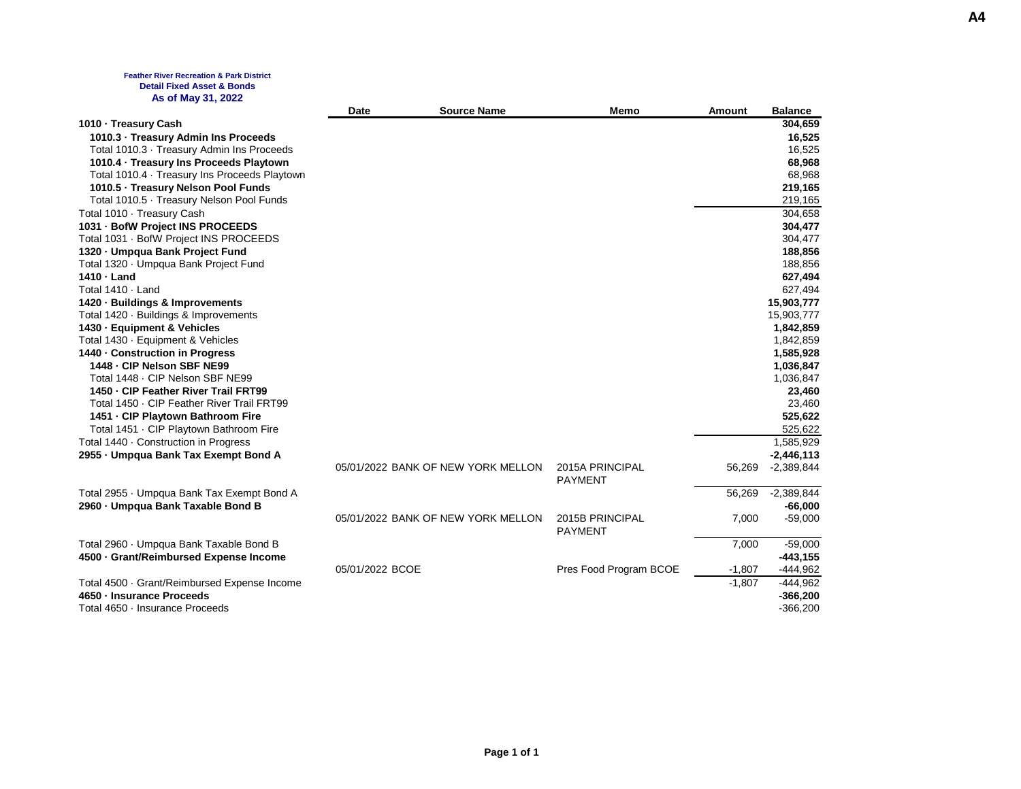### **Feather River Recreation & Park District Detail Fixed Asset & Bonds As of May 31, 2022**

|                                              | Date            | <b>Source Name</b>                 | <b>Memo</b>                       | Amount   | <b>Balance</b> |
|----------------------------------------------|-----------------|------------------------------------|-----------------------------------|----------|----------------|
| 1010 - Treasury Cash                         |                 |                                    |                                   |          | 304,659        |
| 1010.3 - Treasury Admin Ins Proceeds         |                 |                                    |                                   |          | 16,525         |
| Total 1010.3 · Treasury Admin Ins Proceeds   |                 |                                    |                                   |          | 16,525         |
| 1010.4 · Treasury Ins Proceeds Playtown      |                 |                                    |                                   |          | 68,968         |
| Total 1010.4 Treasury Ins Proceeds Playtown  |                 |                                    |                                   |          | 68,968         |
| 1010.5 · Treasury Nelson Pool Funds          |                 |                                    |                                   |          | 219,165        |
| Total 1010.5 · Treasury Nelson Pool Funds    |                 |                                    |                                   |          | 219,165        |
| Total 1010 · Treasury Cash                   |                 |                                    |                                   |          | 304,658        |
| 1031 - BofW Project INS PROCEEDS             |                 |                                    |                                   |          | 304,477        |
| Total 1031 · BofW Project INS PROCEEDS       |                 |                                    |                                   |          | 304,477        |
| 1320 - Umpqua Bank Project Fund              |                 |                                    |                                   |          | 188,856        |
| Total 1320 · Umpqua Bank Project Fund        |                 |                                    |                                   |          | 188,856        |
| 1410 - Land                                  |                 |                                    |                                   |          | 627,494        |
| Total 1410 · Land                            |                 |                                    |                                   |          | 627,494        |
| 1420 · Buildings & Improvements              |                 |                                    |                                   |          | 15,903,777     |
| Total 1420 · Buildings & Improvements        |                 |                                    |                                   |          | 15,903,777     |
| 1430 - Equipment & Vehicles                  |                 |                                    |                                   |          | 1,842,859      |
| Total 1430 · Equipment & Vehicles            |                 |                                    |                                   |          | 1,842,859      |
| 1440 - Construction in Progress              |                 |                                    |                                   |          | 1,585,928      |
| 1448 - CIP Nelson SBF NE99                   |                 |                                    |                                   |          | 1,036,847      |
| Total 1448 - CIP Nelson SBF NE99             |                 |                                    |                                   |          | 1,036,847      |
| 1450 - CIP Feather River Trail FRT99         |                 |                                    |                                   |          | 23,460         |
| Total 1450 · CIP Feather River Trail FRT99   |                 |                                    |                                   |          | 23,460         |
| 1451 - CIP Playtown Bathroom Fire            |                 |                                    |                                   |          | 525,622        |
| Total 1451 · CIP Playtown Bathroom Fire      |                 |                                    |                                   |          | 525,622        |
| Total 1440 · Construction in Progress        |                 |                                    |                                   |          | 1,585,929      |
| 2955 - Umpqua Bank Tax Exempt Bond A         |                 |                                    |                                   |          | $-2,446,113$   |
|                                              |                 | 05/01/2022 BANK OF NEW YORK MELLON | 2015A PRINCIPAL<br><b>PAYMENT</b> | 56,269   | $-2,389,844$   |
| Total 2955 · Umpqua Bank Tax Exempt Bond A   |                 |                                    |                                   | 56,269   | $-2,389,844$   |
| 2960 - Umpqua Bank Taxable Bond B            |                 |                                    |                                   |          | $-66,000$      |
|                                              |                 | 05/01/2022 BANK OF NEW YORK MELLON | 2015B PRINCIPAL<br><b>PAYMENT</b> | 7,000    | $-59,000$      |
| Total 2960 · Umpqua Bank Taxable Bond B      |                 |                                    |                                   | 7,000    | $-59,000$      |
| 4500 · Grant/Reimbursed Expense Income       |                 |                                    |                                   |          | $-443, 155$    |
|                                              | 05/01/2022 BCOE |                                    | Pres Food Program BCOE            | $-1,807$ | $-444,962$     |
| Total 4500 · Grant/Reimbursed Expense Income |                 |                                    |                                   | $-1,807$ | $-444,962$     |
| 4650 - Insurance Proceeds                    |                 |                                    |                                   |          | $-366,200$     |
| Total 4650 · Insurance Proceeds              |                 |                                    |                                   |          | $-366,200$     |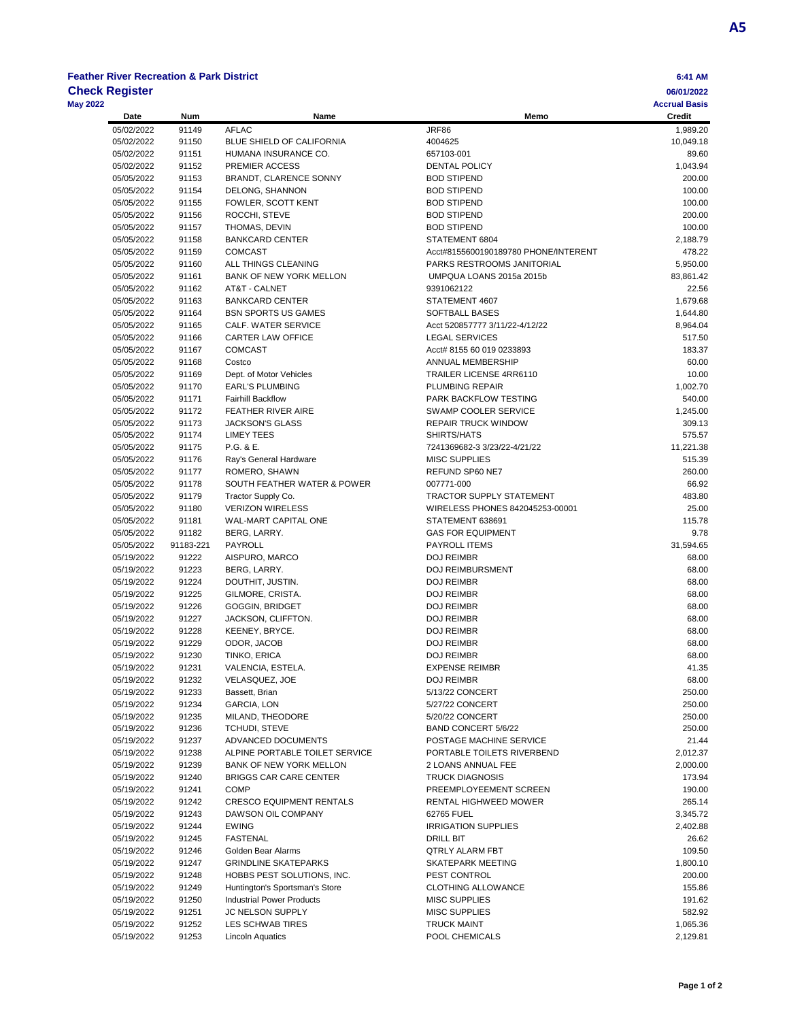# **Feather River Recreation & Park District 6:41 AM**

|                 | <b>Check Register</b> |           |                                          |                                            | 06/01/2022                     |
|-----------------|-----------------------|-----------|------------------------------------------|--------------------------------------------|--------------------------------|
| <b>May 2022</b> | Date                  | Num       | Name                                     | Memo                                       | <b>Accrual Basis</b><br>Credit |
|                 | 05/02/2022            | 91149     | <b>AFLAC</b>                             | <b>JRF86</b>                               | 1,989.20                       |
|                 | 05/02/2022            | 91150     | <b>BLUE SHIELD OF CALIFORNIA</b>         | 4004625                                    | 10,049.18                      |
|                 | 05/02/2022            | 91151     | HUMANA INSURANCE CO.                     | 657103-001                                 | 89.60                          |
|                 | 05/02/2022            | 91152     | PREMIER ACCESS                           | DENTAL POLICY                              | 1,043.94                       |
|                 | 05/05/2022            | 91153     | BRANDT, CLARENCE SONNY                   | <b>BOD STIPEND</b>                         | 200.00                         |
|                 | 05/05/2022            | 91154     | DELONG, SHANNON                          | <b>BOD STIPEND</b>                         | 100.00                         |
|                 | 05/05/2022            | 91155     | FOWLER, SCOTT KENT                       | <b>BOD STIPEND</b>                         | 100.00                         |
|                 | 05/05/2022            | 91156     | ROCCHI, STEVE                            | <b>BOD STIPEND</b>                         | 200.00                         |
|                 | 05/05/2022            | 91157     | THOMAS, DEVIN                            | <b>BOD STIPEND</b>                         | 100.00                         |
|                 |                       |           |                                          | STATEMENT 6804                             |                                |
|                 | 05/05/2022            | 91158     | <b>BANKCARD CENTER</b><br><b>COMCAST</b> |                                            | 2,188.79                       |
|                 | 05/05/2022            | 91159     |                                          | Acct#8155600190189780 PHONE/INTERENT       | 478.22                         |
|                 | 05/05/2022            | 91160     | ALL THINGS CLEANING                      | PARKS RESTROOMS JANITORIAL                 | 5,950.00                       |
|                 | 05/05/2022            | 91161     | BANK OF NEW YORK MELLON                  | UMPQUA LOANS 2015a 2015b                   | 83,861.42                      |
|                 | 05/05/2022            | 91162     | AT&T - CALNET                            | 9391062122                                 | 22.56                          |
|                 | 05/05/2022            | 91163     | <b>BANKCARD CENTER</b>                   | STATEMENT 4607                             | 1,679.68                       |
|                 | 05/05/2022            | 91164     | <b>BSN SPORTS US GAMES</b>               | SOFTBALL BASES                             | 1,644.80                       |
|                 | 05/05/2022            | 91165     | CALF. WATER SERVICE                      | Acct 520857777 3/11/22-4/12/22             | 8,964.04                       |
|                 | 05/05/2022            | 91166     | CARTER LAW OFFICE                        | <b>LEGAL SERVICES</b>                      | 517.50                         |
|                 | 05/05/2022            | 91167     | <b>COMCAST</b>                           | Acct# 8155 60 019 0233893                  | 183.37                         |
|                 | 05/05/2022            | 91168     | Costco                                   | ANNUAL MEMBERSHIP                          | 60.00                          |
|                 | 05/05/2022            | 91169     | Dept. of Motor Vehicles                  | <b>TRAILER LICENSE 4RR6110</b>             | 10.00                          |
|                 | 05/05/2022            | 91170     | <b>EARL'S PLUMBING</b>                   | PLUMBING REPAIR                            | 1,002.70                       |
|                 | 05/05/2022            | 91171     | <b>Fairhill Backflow</b>                 | PARK BACKFLOW TESTING                      | 540.00                         |
|                 | 05/05/2022            | 91172     | <b>FEATHER RIVER AIRE</b>                | SWAMP COOLER SERVICE                       | 1,245.00                       |
|                 | 05/05/2022            | 91173     | <b>JACKSON'S GLASS</b>                   | <b>REPAIR TRUCK WINDOW</b>                 | 309.13                         |
|                 | 05/05/2022            | 91174     | <b>LIMEY TEES</b>                        | SHIRTS/HATS                                | 575.57                         |
|                 |                       |           |                                          | 7241369682-3 3/23/22-4/21/22               | 11.221.38                      |
|                 | 05/05/2022            | 91175     | P.G. & E.                                |                                            |                                |
|                 | 05/05/2022            | 91176     | Ray's General Hardware                   | <b>MISC SUPPLIES</b>                       | 515.39                         |
|                 | 05/05/2022            | 91177     | ROMERO, SHAWN                            | REFUND SP60 NE7                            | 260.00                         |
|                 | 05/05/2022            | 91178     | SOUTH FEATHER WATER & POWER              | 007771-000                                 | 66.92                          |
|                 | 05/05/2022            | 91179     | Tractor Supply Co.                       | <b>TRACTOR SUPPLY STATEMENT</b>            | 483.80                         |
|                 | 05/05/2022            | 91180     | <b>VERIZON WIRELESS</b>                  | WIRELESS PHONES 842045253-00001            | 25.00                          |
|                 | 05/05/2022            | 91181     | WAL-MART CAPITAL ONE                     | STATEMENT 638691                           | 115.78                         |
|                 | 05/05/2022            | 91182     | BERG, LARRY.                             | <b>GAS FOR EQUIPMENT</b>                   | 9.78                           |
|                 | 05/05/2022            | 91183-221 | PAYROLL                                  | PAYROLL ITEMS                              | 31,594.65                      |
|                 | 05/19/2022            | 91222     | AISPURO, MARCO                           | <b>DOJ REIMBR</b>                          | 68.00                          |
|                 | 05/19/2022            | 91223     | BERG, LARRY.                             | <b>DOJ REIMBURSMENT</b>                    | 68.00                          |
|                 | 05/19/2022            | 91224     | DOUTHIT, JUSTIN.                         | <b>DOJ REIMBR</b>                          | 68.00                          |
|                 | 05/19/2022            | 91225     | GILMORE, CRISTA.                         | <b>DOJ REIMBR</b>                          | 68.00                          |
|                 | 05/19/2022            | 91226     | <b>GOGGIN, BRIDGET</b>                   | <b>DOJ REIMBR</b>                          | 68.00                          |
|                 | 05/19/2022            | 91227     | JACKSON, CLIFFTON.                       | <b>DOJ REIMBR</b>                          | 68.00                          |
|                 | 05/19/2022            | 91228     | KEENEY, BRYCE.                           | <b>DOJ REIMBR</b>                          | 68.00                          |
|                 | 05/19/2022            | 91229     | ODOR, JACOB                              | <b>DOJ REIMBR</b>                          | 68.00                          |
|                 | 05/19/2022            | 91230     | TINKO, ERICA                             | <b>DOJ REIMBR</b>                          | 68.00                          |
|                 |                       | 91231     | VALENCIA, ESTELA.                        |                                            | 41.35                          |
|                 | 05/19/2022            |           |                                          | <b>EXPENSE REIMBR</b><br><b>DOJ REIMBR</b> |                                |
|                 | 05/19/2022            | 91232     | VELASQUEZ, JOE                           |                                            | 68.00                          |
|                 | 05/19/2022            | 91233     | Bassett, Brian                           | 5/13/22 CONCERT                            | 250.00                         |
|                 | 05/19/2022            | 91234     | GARCIA, LON                              | 5/27/22 CONCERT                            | 250.00                         |
|                 | 05/19/2022            | 91235     | MILAND, THEODORE                         | 5/20/22 CONCERT                            | 250.00                         |
|                 | 05/19/2022            | 91236     | <b>TCHUDI, STEVE</b>                     | BAND CONCERT 5/6/22                        | 250.00                         |
|                 | 05/19/2022            | 91237     | ADVANCED DOCUMENTS                       | POSTAGE MACHINE SERVICE                    | 21.44                          |
|                 | 05/19/2022            | 91238     | ALPINE PORTABLE TOILET SERVICE           | PORTABLE TOILETS RIVERBEND                 | 2,012.37                       |
|                 | 05/19/2022            | 91239     | BANK OF NEW YORK MELLON                  | 2 LOANS ANNUAL FEE                         | 2,000.00                       |
|                 | 05/19/2022            | 91240     | <b>BRIGGS CAR CARE CENTER</b>            | <b>TRUCK DIAGNOSIS</b>                     | 173.94                         |
|                 | 05/19/2022            | 91241     | <b>COMP</b>                              | PREEMPLOYEEMENT SCREEN                     | 190.00                         |
|                 | 05/19/2022            | 91242     | <b>CRESCO EQUIPMENT RENTALS</b>          | RENTAL HIGHWEED MOWER                      | 265.14                         |
|                 | 05/19/2022            | 91243     | DAWSON OIL COMPANY                       | 62765 FUEL                                 | 3,345.72                       |
|                 | 05/19/2022            | 91244     | <b>EWING</b>                             | <b>IRRIGATION SUPPLIES</b>                 | 2,402.88                       |
|                 | 05/19/2022            | 91245     | FASTENAL                                 | DRILL BIT                                  | 26.62                          |
|                 | 05/19/2022            | 91246     | Golden Bear Alarms                       | QTRLY ALARM FBT                            | 109.50                         |
|                 | 05/19/2022            | 91247     | <b>GRINDLINE SKATEPARKS</b>              | SKATEPARK MEETING                          | 1,800.10                       |
|                 | 05/19/2022            | 91248     | HOBBS PEST SOLUTIONS, INC.               | PEST CONTROL                               | 200.00                         |
|                 | 05/19/2022            |           | Huntington's Sportsman's Store           | <b>CLOTHING ALLOWANCE</b>                  | 155.86                         |
|                 |                       | 91249     |                                          |                                            |                                |
|                 | 05/19/2022            | 91250     | <b>Industrial Power Products</b>         | <b>MISC SUPPLIES</b>                       | 191.62                         |
|                 | 05/19/2022            | 91251     | JC NELSON SUPPLY                         | MISC SUPPLIES                              | 582.92                         |
|                 | 05/19/2022            | 91252     | LES SCHWAB TIRES                         | <b>TRUCK MAINT</b>                         | 1,065.36                       |
|                 | 05/19/2022            | 91253     | Lincoln Aquatics                         | POOL CHEMICALS                             | 2,129.81                       |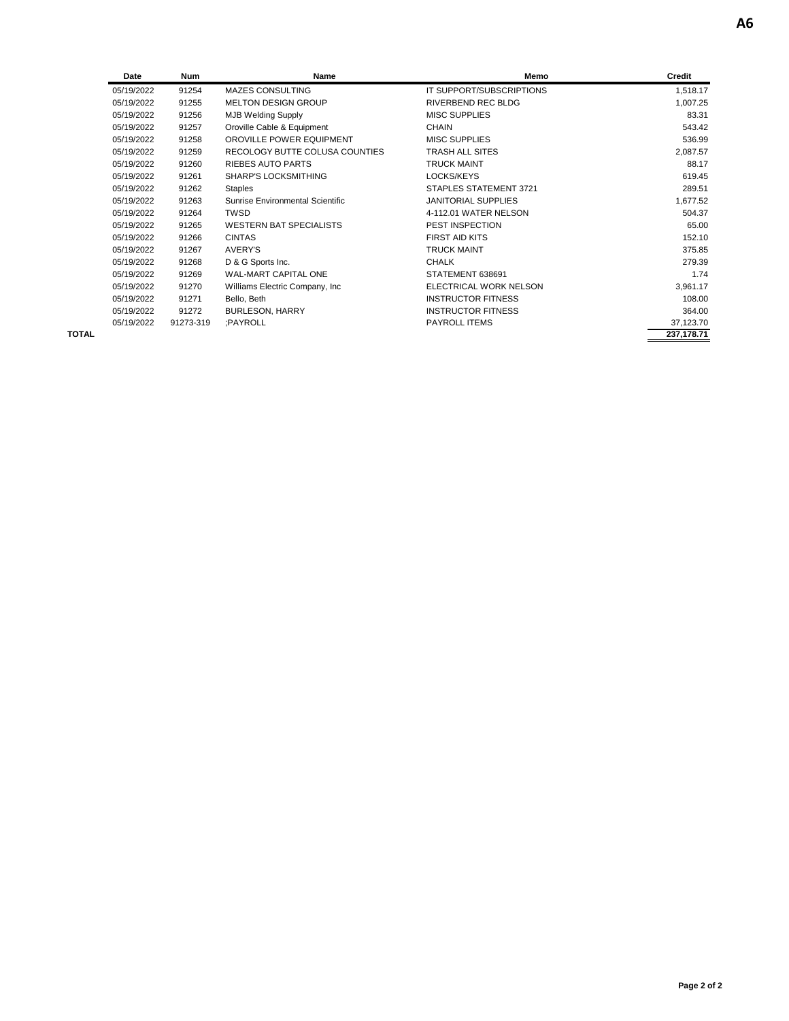| Date       | <b>Num</b> | Name                             | Memo                       | Credit    |
|------------|------------|----------------------------------|----------------------------|-----------|
| 05/19/2022 | 91254      | <b>MAZES CONSULTING</b>          | IT SUPPORT/SUBSCRIPTIONS   | 1,518.17  |
| 05/19/2022 | 91255      | <b>MELTON DESIGN GROUP</b>       | RIVERBEND REC BLDG         | 1,007.25  |
| 05/19/2022 | 91256      | <b>MJB Welding Supply</b>        | <b>MISC SUPPLIES</b>       | 83.31     |
| 05/19/2022 | 91257      | Oroville Cable & Equipment       | <b>CHAIN</b>               | 543.42    |
| 05/19/2022 | 91258      | OROVILLE POWER EQUIPMENT         | <b>MISC SUPPLIES</b>       | 536.99    |
| 05/19/2022 | 91259      | RECOLOGY BUTTE COLUSA COUNTIES   | <b>TRASH ALL SITES</b>     | 2,087.57  |
| 05/19/2022 | 91260      | <b>RIEBES AUTO PARTS</b>         | <b>TRUCK MAINT</b>         | 88.17     |
| 05/19/2022 | 91261      | <b>SHARP'S LOCKSMITHING</b>      | LOCKS/KEYS                 | 619.45    |
| 05/19/2022 | 91262      | <b>Staples</b>                   | STAPLES STATEMENT 3721     | 289.51    |
| 05/19/2022 | 91263      | Sunrise Environmental Scientific | <b>JANITORIAL SUPPLIES</b> | 1,677.52  |
| 05/19/2022 | 91264      | <b>TWSD</b>                      | 4-112.01 WATER NELSON      | 504.37    |
| 05/19/2022 | 91265      | <b>WESTERN BAT SPECIALISTS</b>   | PEST INSPECTION            | 65.00     |
| 05/19/2022 | 91266      | <b>CINTAS</b>                    | FIRST AID KITS             | 152.10    |
| 05/19/2022 | 91267      | <b>AVERY'S</b>                   | <b>TRUCK MAINT</b>         | 375.85    |
| 05/19/2022 | 91268      | D & G Sports Inc.                | <b>CHALK</b>               | 279.39    |
| 05/19/2022 | 91269      | <b>WAL-MART CAPITAL ONE</b>      | STATEMENT 638691           | 1.74      |
| 05/19/2022 | 91270      | Williams Electric Company, Inc.  | ELECTRICAL WORK NELSON     | 3,961.17  |
| 05/19/2022 | 91271      | Bello, Beth                      | <b>INSTRUCTOR FITNESS</b>  | 108.00    |
| 05/19/2022 | 91272      | <b>BURLESON, HARRY</b>           | <b>INSTRUCTOR FITNESS</b>  | 364.00    |
| 05/19/2022 | 91273-319  | :PAYROLL                         | <b>PAYROLL ITEMS</b>       | 37,123.70 |

**TOTAL 237,178.71**